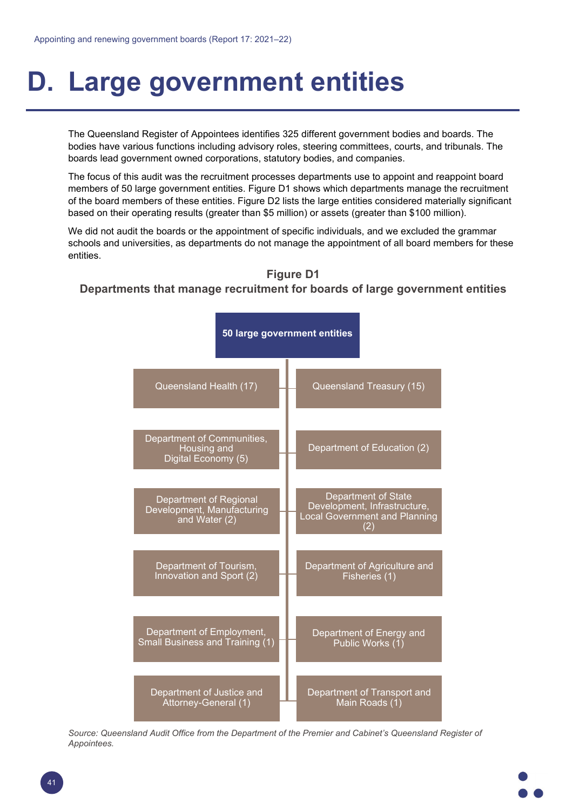## **D. Large government entities**

The Queensland Register of Appointees identifies 325 different government bodies and boards. The bodies have various functions including advisory roles, steering committees, courts, and tribunals. The boards lead government owned corporations, statutory bodies, and companies.

The focus of this audit was the recruitment processes departments use to appoint and reappoint board members of 50 large government entities. Figure D1 shows which departments manage the recruitment of the board members of these entities. Figure D2 lists the large entities considered materially significant based on their operating results (greater than \$5 million) or assets (greater than \$100 million).

We did not audit the boards or the appointment of specific individuals, and we excluded the grammar schools and universities, as departments do not manage the appointment of all board members for these entities.





Source: Queensland Audit Office from the Department of the Premier and Cabinet's Queensland Register of *Appointees.*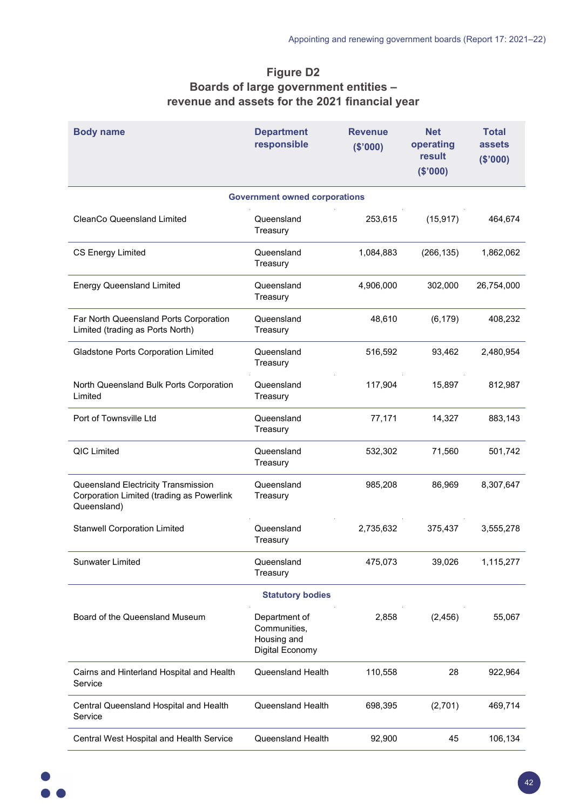## **Figure D2 Boards of large government entities – revenue and assets for the 2021 financial year**

| <b>Body name</b>                                                                                | <b>Department</b><br>responsible                                | <b>Revenue</b><br>(\$'000) | <b>Net</b><br>operating<br>result<br>(\$'000) | <b>Total</b><br>assets<br>(\$'000) |  |  |
|-------------------------------------------------------------------------------------------------|-----------------------------------------------------------------|----------------------------|-----------------------------------------------|------------------------------------|--|--|
|                                                                                                 | <b>Government owned corporations</b>                            |                            |                                               |                                    |  |  |
| <b>CleanCo Queensland Limited</b>                                                               | Queensland<br>Treasury                                          | 253,615                    | (15, 917)                                     | 464,674                            |  |  |
| <b>CS Energy Limited</b>                                                                        | Queensland<br>Treasury                                          | 1,084,883                  | (266, 135)                                    | 1,862,062                          |  |  |
| <b>Energy Queensland Limited</b>                                                                | Queensland<br>Treasury                                          | 4,906,000                  | 302,000                                       | 26,754,000                         |  |  |
| Far North Queensland Ports Corporation<br>Limited (trading as Ports North)                      | Queensland<br>Treasury                                          | 48,610                     | (6, 179)                                      | 408,232                            |  |  |
| Gladstone Ports Corporation Limited                                                             | Queensland<br>Treasury                                          | 516,592                    | 93,462                                        | 2,480,954                          |  |  |
| North Queensland Bulk Ports Corporation<br>Limited                                              | Queensland<br>Treasury                                          | 117,904                    | 15,897                                        | 812,987                            |  |  |
| Port of Townsville Ltd                                                                          | Queensland<br>Treasury                                          | 77,171                     | 14,327                                        | 883,143                            |  |  |
| <b>QIC Limited</b>                                                                              | Queensland<br>Treasury                                          | 532,302                    | 71,560                                        | 501,742                            |  |  |
| Queensland Electricity Transmission<br>Corporation Limited (trading as Powerlink<br>Queensland) | Queensland<br>Treasury                                          | 985,208                    | 86,969                                        | 8,307,647                          |  |  |
| <b>Stanwell Corporation Limited</b>                                                             | Queensland<br>Treasury                                          | 2,735,632                  | 375,437                                       | 3,555,278                          |  |  |
| <b>Sunwater Limited</b>                                                                         | Queensland<br>Treasury                                          | 475,073                    | 39,026                                        | 1,115,277                          |  |  |
| <b>Statutory bodies</b>                                                                         |                                                                 |                            |                                               |                                    |  |  |
| Board of the Queensland Museum                                                                  | Department of<br>Communities,<br>Housing and<br>Digital Economy | 2,858                      | (2, 456)                                      | 55,067                             |  |  |
| Cairns and Hinterland Hospital and Health<br>Service                                            | Queensland Health                                               | 110,558                    | 28                                            | 922,964                            |  |  |
| Central Queensland Hospital and Health<br>Service                                               | Queensland Health                                               | 698,395                    | (2,701)                                       | 469,714                            |  |  |
| Central West Hospital and Health Service                                                        | Queensland Health                                               | 92,900                     | 45                                            | 106,134                            |  |  |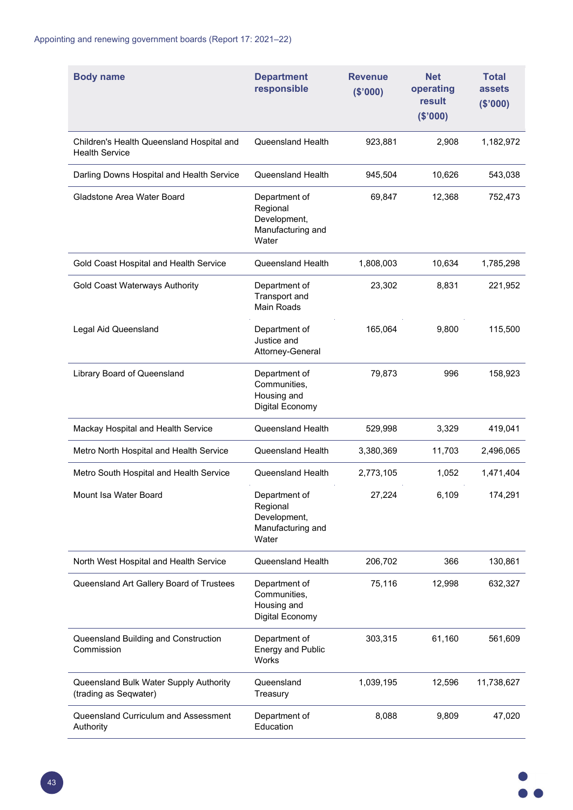| <b>Body name</b>                                                   | <b>Department</b><br>responsible                                        | <b>Revenue</b><br>(\$'000) | <b>Net</b><br>operating<br>result<br>(\$'000) | <b>Total</b><br>assets<br>(\$'000) |
|--------------------------------------------------------------------|-------------------------------------------------------------------------|----------------------------|-----------------------------------------------|------------------------------------|
| Children's Health Queensland Hospital and<br><b>Health Service</b> | Queensland Health                                                       | 923,881                    | 2,908                                         | 1,182,972                          |
| Darling Downs Hospital and Health Service                          | <b>Queensland Health</b>                                                | 945,504                    | 10,626                                        | 543,038                            |
| Gladstone Area Water Board                                         | Department of<br>Regional<br>Development,<br>Manufacturing and<br>Water | 69,847                     | 12,368                                        | 752,473                            |
| Gold Coast Hospital and Health Service                             | Queensland Health                                                       | 1,808,003                  | 10,634                                        | 1,785,298                          |
| Gold Coast Waterways Authority                                     | Department of<br>Transport and<br>Main Roads                            | 23,302                     | 8,831                                         | 221,952                            |
| Legal Aid Queensland                                               | Department of<br>Justice and<br>Attorney-General                        | 165,064                    | 9,800                                         | 115,500                            |
| Library Board of Queensland                                        | Department of<br>Communities,<br>Housing and<br>Digital Economy         | 79,873                     | 996                                           | 158,923                            |
| Mackay Hospital and Health Service                                 | Queensland Health                                                       | 529,998                    | 3,329                                         | 419,041                            |
| Metro North Hospital and Health Service                            | Queensland Health                                                       | 3,380,369                  | 11,703                                        | 2,496,065                          |
| Metro South Hospital and Health Service                            | <b>Queensland Health</b>                                                | 2,773,105                  | 1,052                                         | 1,471,404                          |
| Mount Isa Water Board                                              | Department of<br>Regional<br>Development,<br>Manufacturing and<br>Water | 27,224                     | 6,109                                         | 174,291                            |
| North West Hospital and Health Service                             | Queensland Health                                                       | 206,702                    | 366                                           | 130,861                            |
| Queensland Art Gallery Board of Trustees                           | Department of<br>Communities,<br>Housing and<br>Digital Economy         | 75,116                     | 12,998                                        | 632,327                            |
| Queensland Building and Construction<br>Commission                 | Department of<br><b>Energy and Public</b><br>Works                      | 303,315                    | 61,160                                        | 561,609                            |
| Queensland Bulk Water Supply Authority<br>(trading as Seqwater)    | Queensland<br>Treasury                                                  | 1,039,195                  | 12,596                                        | 11,738,627                         |
| Queensland Curriculum and Assessment<br>Authority                  | Department of<br>Education                                              | 8,088                      | 9,809                                         | 47,020                             |

 $\bullet$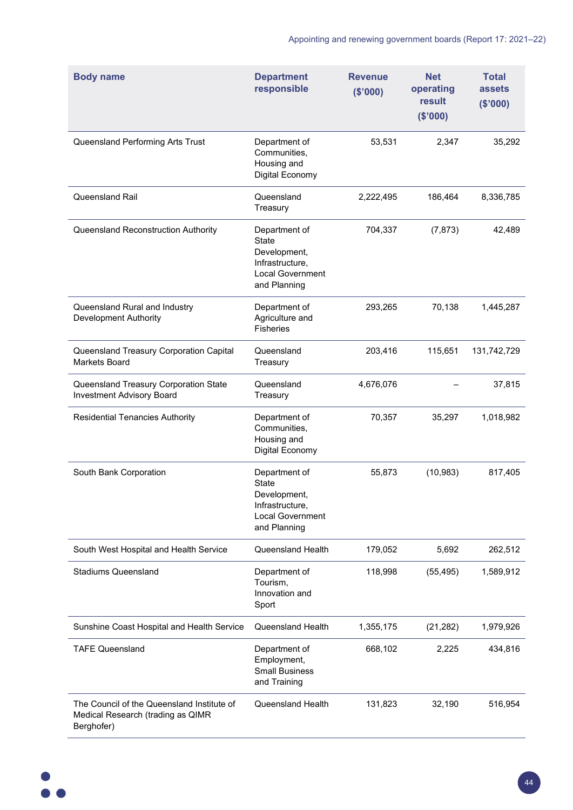| <b>Body name</b>                                                                              | <b>Department</b><br>responsible                                                                            | <b>Revenue</b><br>(\$'000) | <b>Net</b><br>operating<br>result<br>(\$'000) | <b>Total</b><br>assets<br>(\$'000) |
|-----------------------------------------------------------------------------------------------|-------------------------------------------------------------------------------------------------------------|----------------------------|-----------------------------------------------|------------------------------------|
| Queensland Performing Arts Trust                                                              | Department of<br>Communities,<br>Housing and<br>Digital Economy                                             | 53,531                     | 2,347                                         | 35,292                             |
| Queensland Rail                                                                               | Queensland<br>Treasury                                                                                      | 2,222,495                  | 186,464                                       | 8,336,785                          |
| Queensland Reconstruction Authority                                                           | Department of<br><b>State</b><br>Development,<br>Infrastructure,<br><b>Local Government</b><br>and Planning | 704,337                    | (7, 873)                                      | 42,489                             |
| Queensland Rural and Industry<br>Development Authority                                        | Department of<br>Agriculture and<br><b>Fisheries</b>                                                        | 293,265                    | 70,138                                        | 1,445,287                          |
| Queensland Treasury Corporation Capital<br><b>Markets Board</b>                               | Queensland<br>Treasury                                                                                      | 203,416                    | 115,651                                       | 131,742,729                        |
| Queensland Treasury Corporation State<br><b>Investment Advisory Board</b>                     | Queensland<br>Treasury                                                                                      | 4,676,076                  |                                               | 37,815                             |
| <b>Residential Tenancies Authority</b>                                                        | Department of<br>Communities,<br>Housing and<br>Digital Economy                                             | 70,357                     | 35,297                                        | 1,018,982                          |
| South Bank Corporation                                                                        | Department of<br><b>State</b><br>Development,<br>Infrastructure,<br><b>Local Government</b><br>and Planning | 55,873                     | (10, 983)                                     | 817,405                            |
| South West Hospital and Health Service                                                        | Queensland Health                                                                                           | 179,052                    | 5,692                                         | 262,512                            |
| <b>Stadiums Queensland</b>                                                                    | Department of<br>Tourism,<br>Innovation and<br>Sport                                                        | 118,998                    | (55, 495)                                     | 1,589,912                          |
| Sunshine Coast Hospital and Health Service                                                    | Queensland Health                                                                                           | 1,355,175                  | (21, 282)                                     | 1,979,926                          |
| <b>TAFE Queensland</b>                                                                        | Department of<br>Employment,<br><b>Small Business</b><br>and Training                                       | 668,102                    | 2,225                                         | 434,816                            |
| The Council of the Queensland Institute of<br>Medical Research (trading as QIMR<br>Berghofer) | Queensland Health                                                                                           | 131,823                    | 32,190                                        | 516,954                            |